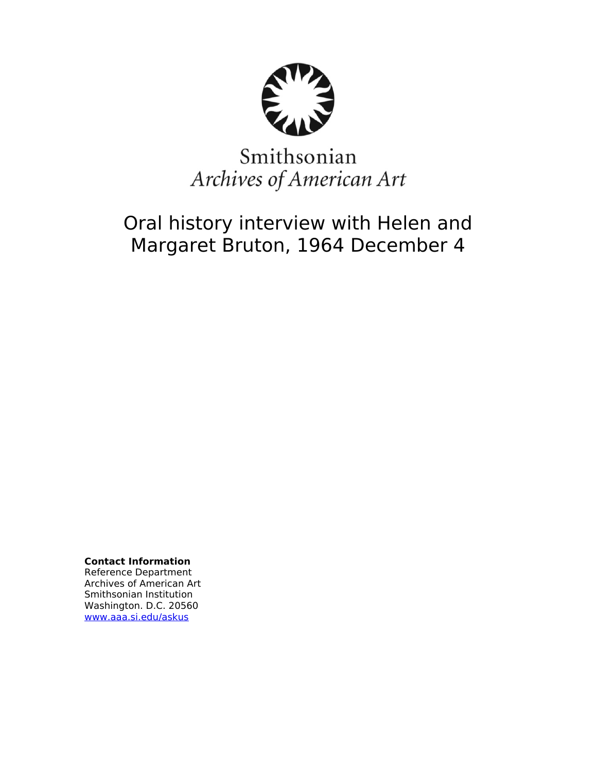

# Smithsonian Archives of American Art

# Oral history interview with Helen and Margaret Bruton, 1964 December 4

**Contact Information** Reference Department Archives of American Art Smithsonian Institution Washington. D.C. 20560 [www.aaa.si.edu/askus](http://www.aaa.si.edu/askus)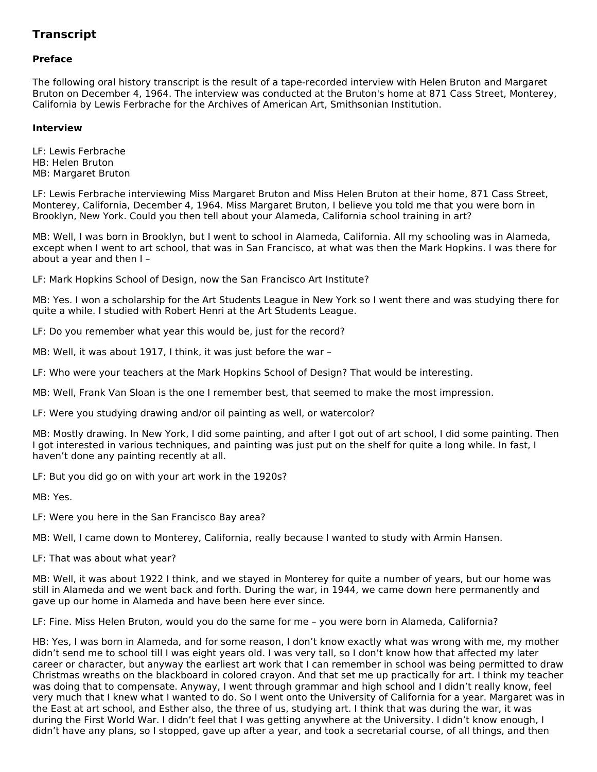# **Transcript**

# **Preface**

The following oral history transcript is the result of a tape-recorded interview with Helen Bruton and Margaret Bruton on December 4, 1964. The interview was conducted at the Bruton's home at 871 Cass Street, Monterey, California by Lewis Ferbrache for the Archives of American Art, Smithsonian Institution.

# **Interview**

LF: Lewis Ferbrache HB: Helen Bruton MB: Margaret Bruton

LF: Lewis Ferbrache interviewing Miss Margaret Bruton and Miss Helen Bruton at their home, 871 Cass Street, Monterey, California, December 4, 1964. Miss Margaret Bruton, I believe you told me that you were born in Brooklyn, New York. Could you then tell about your Alameda, California school training in art?

MB: Well, I was born in Brooklyn, but I went to school in Alameda, California. All my schooling was in Alameda, except when I went to art school, that was in San Francisco, at what was then the Mark Hopkins. I was there for about a year and then I –

LF: Mark Hopkins School of Design, now the San Francisco Art Institute?

MB: Yes. I won a scholarship for the Art Students League in New York so I went there and was studying there for quite a while. I studied with Robert Henri at the Art Students League.

LF: Do you remember what year this would be, just for the record?

MB: Well, it was about 1917, I think, it was just before the war –

LF: Who were your teachers at the Mark Hopkins School of Design? That would be interesting.

MB: Well, Frank Van Sloan is the one I remember best, that seemed to make the most impression.

LF: Were you studying drawing and/or oil painting as well, or watercolor?

MB: Mostly drawing. In New York, I did some painting, and after I got out of art school, I did some painting. Then I got interested in various techniques, and painting was just put on the shelf for quite a long while. In fast, I haven't done any painting recently at all.

LF: But you did go on with your art work in the 1920s?

MB: Yes.

LF: Were you here in the San Francisco Bay area?

MB: Well, I came down to Monterey, California, really because I wanted to study with Armin Hansen.

LF: That was about what year?

MB: Well, it was about 1922 I think, and we stayed in Monterey for quite a number of years, but our home was still in Alameda and we went back and forth. During the war, in 1944, we came down here permanently and gave up our home in Alameda and have been here ever since.

LF: Fine. Miss Helen Bruton, would you do the same for me – you were born in Alameda, California?

HB: Yes, I was born in Alameda, and for some reason, I don't know exactly what was wrong with me, my mother didn't send me to school till I was eight years old. I was very tall, so I don't know how that affected my later career or character, but anyway the earliest art work that I can remember in school was being permitted to draw Christmas wreaths on the blackboard in colored crayon. And that set me up practically for art. I think my teacher was doing that to compensate. Anyway, I went through grammar and high school and I didn't really know, feel very much that I knew what I wanted to do. So I went onto the University of California for a year. Margaret was in the East at art school, and Esther also, the three of us, studying art. I think that was during the war, it was during the First World War. I didn't feel that I was getting anywhere at the University. I didn't know enough, I didn't have any plans, so I stopped, gave up after a year, and took a secretarial course, of all things, and then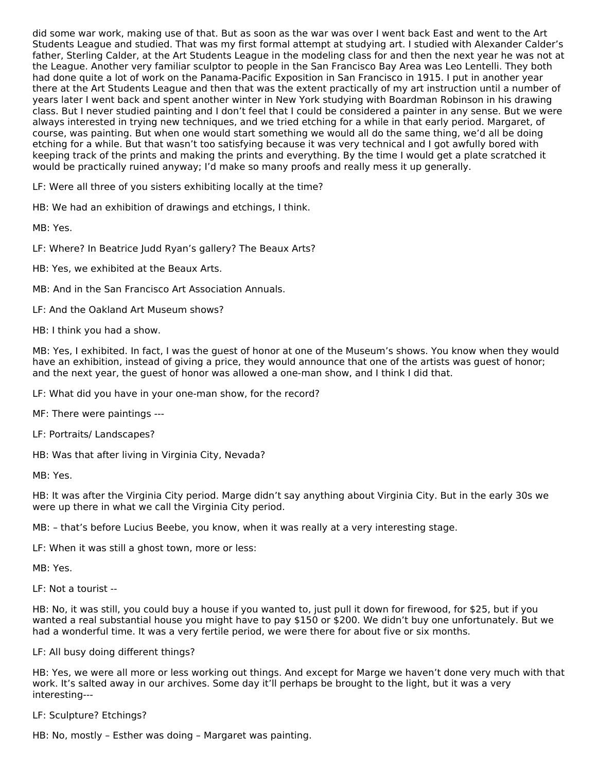did some war work, making use of that. But as soon as the war was over I went back East and went to the Art Students League and studied. That was my first formal attempt at studying art. I studied with Alexander Calder's father, Sterling Calder, at the Art Students League in the modeling class for and then the next year he was not at the League. Another very familiar sculptor to people in the San Francisco Bay Area was Leo Lentelli. They both had done quite a lot of work on the Panama-Pacific Exposition in San Francisco in 1915. I put in another year there at the Art Students League and then that was the extent practically of my art instruction until a number of years later I went back and spent another winter in New York studying with Boardman Robinson in his drawing class. But I never studied painting and I don't feel that I could be considered a painter in any sense. But we were always interested in trying new techniques, and we tried etching for a while in that early period. Margaret, of course, was painting. But when one would start something we would all do the same thing, we'd all be doing etching for a while. But that wasn't too satisfying because it was very technical and I got awfully bored with keeping track of the prints and making the prints and everything. By the time I would get a plate scratched it would be practically ruined anyway; I'd make so many proofs and really mess it up generally.

LF: Were all three of you sisters exhibiting locally at the time?

HB: We had an exhibition of drawings and etchings, I think.

MB: Yes.

LF: Where? In Beatrice Judd Ryan's gallery? The Beaux Arts?

HB: Yes, we exhibited at the Beaux Arts.

MB: And in the San Francisco Art Association Annuals.

LF: And the Oakland Art Museum shows?

HB: I think you had a show.

MB: Yes, I exhibited. In fact, I was the guest of honor at one of the Museum's shows. You know when they would have an exhibition, instead of giving a price, they would announce that one of the artists was guest of honor; and the next year, the guest of honor was allowed a one-man show, and I think I did that.

LF: What did you have in your one-man show, for the record?

MF: There were paintings ---

LF: Portraits/ Landscapes?

HB: Was that after living in Virginia City, Nevada?

MB: Yes.

HB: It was after the Virginia City period. Marge didn't say anything about Virginia City. But in the early 30s we were up there in what we call the Virginia City period.

MB: – that's before Lucius Beebe, you know, when it was really at a very interesting stage.

LF: When it was still a ghost town, more or less:

MB: Yes.

LF: Not a tourist --

HB: No, it was still, you could buy a house if you wanted to, just pull it down for firewood, for \$25, but if you wanted a real substantial house you might have to pay \$150 or \$200. We didn't buy one unfortunately. But we had a wonderful time. It was a very fertile period, we were there for about five or six months.

#### LF: All busy doing different things?

HB: Yes, we were all more or less working out things. And except for Marge we haven't done very much with that work. It's salted away in our archives. Some day it'll perhaps be brought to the light, but it was a very interesting---

LF: Sculpture? Etchings?

HB: No, mostly – Esther was doing – Margaret was painting.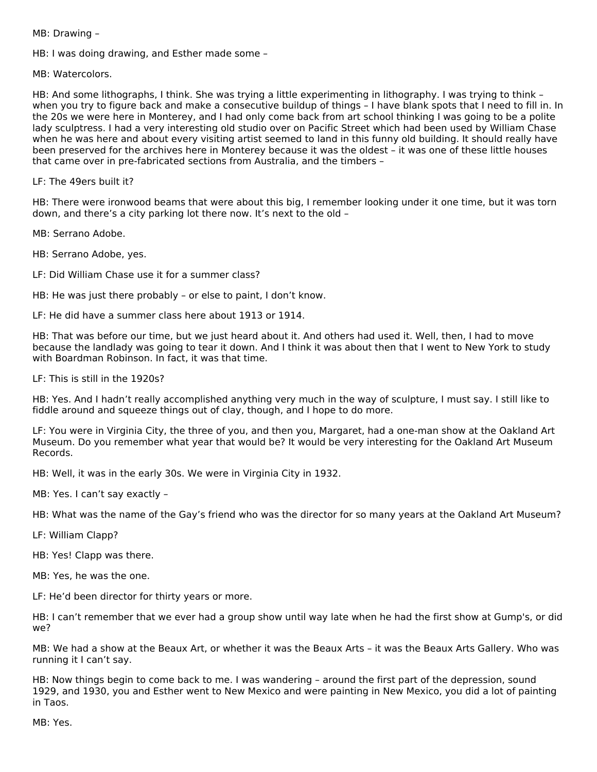MB: Drawing –

HB: I was doing drawing, and Esther made some –

MB: Watercolors.

HB: And some lithographs, I think. She was trying a little experimenting in lithography. I was trying to think – when you try to figure back and make a consecutive buildup of things – I have blank spots that I need to fill in. In the 20s we were here in Monterey, and I had only come back from art school thinking I was going to be a polite lady sculptress. I had a very interesting old studio over on Pacific Street which had been used by William Chase when he was here and about every visiting artist seemed to land in this funny old building. It should really have been preserved for the archives here in Monterey because it was the oldest – it was one of these little houses that came over in pre-fabricated sections from Australia, and the timbers –

LF: The 49ers built it?

HB: There were ironwood beams that were about this big, I remember looking under it one time, but it was torn down, and there's a city parking lot there now. It's next to the old –

MB: Serrano Adobe.

HB: Serrano Adobe, yes.

LF: Did William Chase use it for a summer class?

HB: He was just there probably – or else to paint, I don't know.

LF: He did have a summer class here about 1913 or 1914.

HB: That was before our time, but we just heard about it. And others had used it. Well, then, I had to move because the landlady was going to tear it down. And I think it was about then that I went to New York to study with Boardman Robinson. In fact, it was that time.

LF: This is still in the 1920s?

HB: Yes. And I hadn't really accomplished anything very much in the way of sculpture, I must say. I still like to fiddle around and squeeze things out of clay, though, and I hope to do more.

LF: You were in Virginia City, the three of you, and then you, Margaret, had a one-man show at the Oakland Art Museum. Do you remember what year that would be? It would be very interesting for the Oakland Art Museum Records.

HB: Well, it was in the early 30s. We were in Virginia City in 1932.

MB: Yes. I can't say exactly –

HB: What was the name of the Gay's friend who was the director for so many years at the Oakland Art Museum?

LF: William Clapp?

HB: Yes! Clapp was there.

MB: Yes, he was the one.

LF: He'd been director for thirty years or more.

HB: I can't remember that we ever had a group show until way late when he had the first show at Gump's, or did we?

MB: We had a show at the Beaux Art, or whether it was the Beaux Arts – it was the Beaux Arts Gallery. Who was running it I can't say.

HB: Now things begin to come back to me. I was wandering – around the first part of the depression, sound 1929, and 1930, you and Esther went to New Mexico and were painting in New Mexico, you did a lot of painting in Taos.

MB: Yes.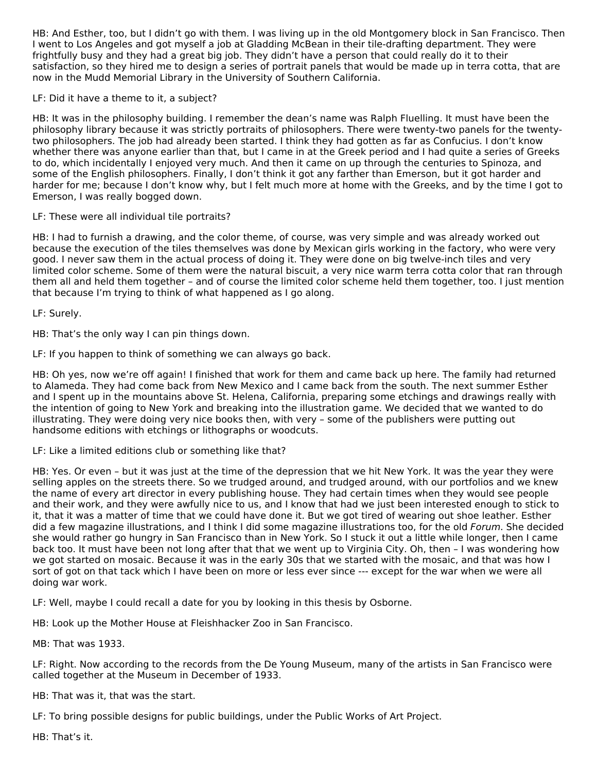HB: And Esther, too, but I didn't go with them. I was living up in the old Montgomery block in San Francisco. Then I went to Los Angeles and got myself a job at Gladding McBean in their tile-drafting department. They were frightfully busy and they had a great big job. They didn't have a person that could really do it to their satisfaction, so they hired me to design a series of portrait panels that would be made up in terra cotta, that are now in the Mudd Memorial Library in the University of Southern California.

# LF: Did it have a theme to it, a subject?

HB: It was in the philosophy building. I remember the dean's name was Ralph Fluelling. It must have been the philosophy library because it was strictly portraits of philosophers. There were twenty-two panels for the twentytwo philosophers. The job had already been started. I think they had gotten as far as Confucius. I don't know whether there was anyone earlier than that, but I came in at the Greek period and I had quite a series of Greeks to do, which incidentally I enjoyed very much. And then it came on up through the centuries to Spinoza, and some of the English philosophers. Finally, I don't think it got any farther than Emerson, but it got harder and harder for me; because I don't know why, but I felt much more at home with the Greeks, and by the time I got to Emerson, I was really bogged down.

# LF: These were all individual tile portraits?

HB: I had to furnish a drawing, and the color theme, of course, was very simple and was already worked out because the execution of the tiles themselves was done by Mexican girls working in the factory, who were very good. I never saw them in the actual process of doing it. They were done on big twelve-inch tiles and very limited color scheme. Some of them were the natural biscuit, a very nice warm terra cotta color that ran through them all and held them together – and of course the limited color scheme held them together, too. I just mention that because I'm trying to think of what happened as I go along.

LF: Surely.

HB: That's the only way I can pin things down.

LF: If you happen to think of something we can always go back.

HB: Oh yes, now we're off again! I finished that work for them and came back up here. The family had returned to Alameda. They had come back from New Mexico and I came back from the south. The next summer Esther and I spent up in the mountains above St. Helena, California, preparing some etchings and drawings really with the intention of going to New York and breaking into the illustration game. We decided that we wanted to do illustrating. They were doing very nice books then, with very – some of the publishers were putting out handsome editions with etchings or lithographs or woodcuts.

#### LF: Like a limited editions club or something like that?

HB: Yes. Or even – but it was just at the time of the depression that we hit New York. It was the year they were selling apples on the streets there. So we trudged around, and trudged around, with our portfolios and we knew the name of every art director in every publishing house. They had certain times when they would see people and their work, and they were awfully nice to us, and I know that had we just been interested enough to stick to it, that it was a matter of time that we could have done it. But we got tired of wearing out shoe leather. Esther did a few magazine illustrations, and I think I did some magazine illustrations too, for the old Forum. She decided she would rather go hungry in San Francisco than in New York. So I stuck it out a little while longer, then I came back too. It must have been not long after that that we went up to Virginia City. Oh, then – I was wondering how we got started on mosaic. Because it was in the early 30s that we started with the mosaic, and that was how I sort of got on that tack which I have been on more or less ever since --- except for the war when we were all doing war work.

LF: Well, maybe I could recall a date for you by looking in this thesis by Osborne.

HB: Look up the Mother House at Fleishhacker Zoo in San Francisco.

MB: That was 1933.

LF: Right. Now according to the records from the De Young Museum, many of the artists in San Francisco were called together at the Museum in December of 1933.

HB: That was it, that was the start.

LF: To bring possible designs for public buildings, under the Public Works of Art Project.

HB: That's it.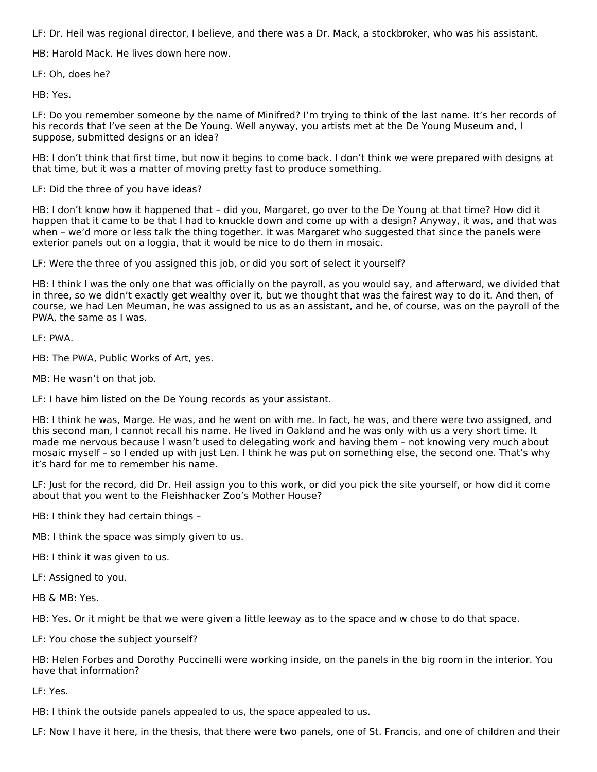LF: Dr. Heil was regional director, I believe, and there was a Dr. Mack, a stockbroker, who was his assistant.

HB: Harold Mack. He lives down here now.

LF: Oh, does he?

HB: Yes.

LF: Do you remember someone by the name of Minifred? I'm trying to think of the last name. It's her records of his records that I've seen at the De Young. Well anyway, you artists met at the De Young Museum and, I suppose, submitted designs or an idea?

HB: I don't think that first time, but now it begins to come back. I don't think we were prepared with designs at that time, but it was a matter of moving pretty fast to produce something.

LF: Did the three of you have ideas?

HB: I don't know how it happened that – did you, Margaret, go over to the De Young at that time? How did it happen that it came to be that I had to knuckle down and come up with a design? Anyway, it was, and that was when – we'd more or less talk the thing together. It was Margaret who suggested that since the panels were exterior panels out on a loggia, that it would be nice to do them in mosaic.

LF: Were the three of you assigned this job, or did you sort of select it yourself?

HB: I think I was the only one that was officially on the payroll, as you would say, and afterward, we divided that in three, so we didn't exactly get wealthy over it, but we thought that was the fairest way to do it. And then, of course, we had Len Meuman, he was assigned to us as an assistant, and he, of course, was on the payroll of the PWA, the same as I was.

LF: PWA.

HB: The PWA, Public Works of Art, yes.

MB: He wasn't on that job.

LF: I have him listed on the De Young records as your assistant.

HB: I think he was, Marge. He was, and he went on with me. In fact, he was, and there were two assigned, and this second man, I cannot recall his name. He lived in Oakland and he was only with us a very short time. It made me nervous because I wasn't used to delegating work and having them – not knowing very much about mosaic myself – so I ended up with just Len. I think he was put on something else, the second one. That's why it's hard for me to remember his name.

LF: Just for the record, did Dr. Heil assign you to this work, or did you pick the site yourself, or how did it come about that you went to the Fleishhacker Zoo's Mother House?

HB: I think they had certain things –

MB: I think the space was simply given to us.

HB: I think it was given to us.

LF: Assigned to you.

HB & MB: Yes.

HB: Yes. Or it might be that we were given a little leeway as to the space and w chose to do that space.

LF: You chose the subject yourself?

HB: Helen Forbes and Dorothy Puccinelli were working inside, on the panels in the big room in the interior. You have that information?

LF: Yes.

HB: I think the outside panels appealed to us, the space appealed to us.

LF: Now I have it here, in the thesis, that there were two panels, one of St. Francis, and one of children and their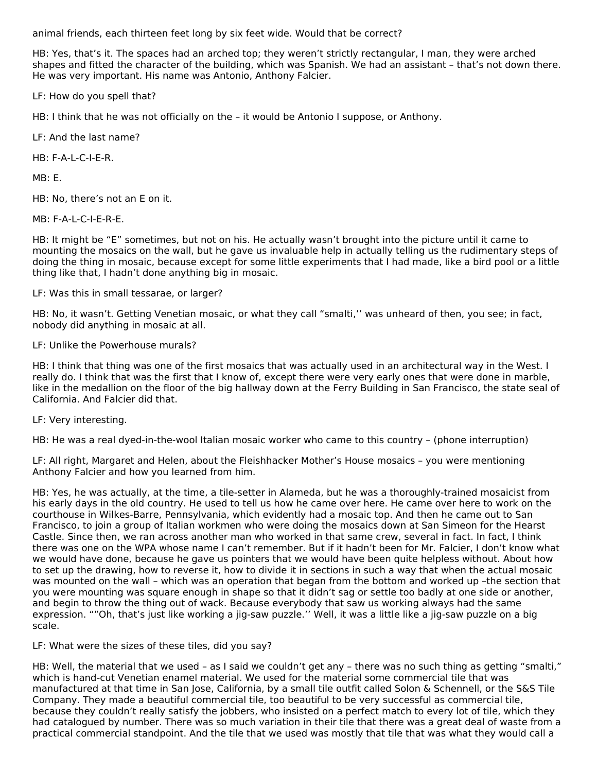animal friends, each thirteen feet long by six feet wide. Would that be correct?

HB: Yes, that's it. The spaces had an arched top; they weren't strictly rectangular, I man, they were arched shapes and fitted the character of the building, which was Spanish. We had an assistant – that's not down there. He was very important. His name was Antonio, Anthony Falcier.

LF: How do you spell that?

HB: I think that he was not officially on the – it would be Antonio I suppose, or Anthony.

LF: And the last name?

HB: F-A-L-C-I-E-R.

MB: E.

HB: No, there's not an E on it.

MB: F-A-L-C-I-E-R-E.

HB: It might be "E" sometimes, but not on his. He actually wasn't brought into the picture until it came to mounting the mosaics on the wall, but he gave us invaluable help in actually telling us the rudimentary steps of doing the thing in mosaic, because except for some little experiments that I had made, like a bird pool or a little thing like that, I hadn't done anything big in mosaic.

LF: Was this in small tessarae, or larger?

HB: No, it wasn't. Getting Venetian mosaic, or what they call "smalti,'' was unheard of then, you see; in fact, nobody did anything in mosaic at all.

# LF: Unlike the Powerhouse murals?

HB: I think that thing was one of the first mosaics that was actually used in an architectural way in the West. I really do. I think that was the first that I know of, except there were very early ones that were done in marble, like in the medallion on the floor of the big hallway down at the Ferry Building in San Francisco, the state seal of California. And Falcier did that.

LF: Very interesting.

HB: He was a real dyed-in-the-wool Italian mosaic worker who came to this country – (phone interruption)

LF: All right, Margaret and Helen, about the Fleishhacker Mother's House mosaics – you were mentioning Anthony Falcier and how you learned from him.

HB: Yes, he was actually, at the time, a tile-setter in Alameda, but he was a thoroughly-trained mosaicist from his early days in the old country. He used to tell us how he came over here. He came over here to work on the courthouse in Wilkes-Barre, Pennsylvania, which evidently had a mosaic top. And then he came out to San Francisco, to join a group of Italian workmen who were doing the mosaics down at San Simeon for the Hearst Castle. Since then, we ran across another man who worked in that same crew, several in fact. In fact, I think there was one on the WPA whose name I can't remember. But if it hadn't been for Mr. Falcier, I don't know what we would have done, because he gave us pointers that we would have been quite helpless without. About how to set up the drawing, how to reverse it, how to divide it in sections in such a way that when the actual mosaic was mounted on the wall – which was an operation that began from the bottom and worked up –the section that you were mounting was square enough in shape so that it didn't sag or settle too badly at one side or another, and begin to throw the thing out of wack. Because everybody that saw us working always had the same expression. ""Oh, that's just like working a jig-saw puzzle.'' Well, it was a little like a jig-saw puzzle on a big scale.

LF: What were the sizes of these tiles, did you say?

HB: Well, the material that we used – as I said we couldn't get any – there was no such thing as getting "smalti," which is hand-cut Venetian enamel material. We used for the material some commercial tile that was manufactured at that time in San Jose, California, by a small tile outfit called Solon & Schennell, or the S&S Tile Company. They made a beautiful commercial tile, too beautiful to be very successful as commercial tile, because they couldn't really satisfy the jobbers, who insisted on a perfect match to every lot of tile, which they had catalogued by number. There was so much variation in their tile that there was a great deal of waste from a practical commercial standpoint. And the tile that we used was mostly that tile that was what they would call a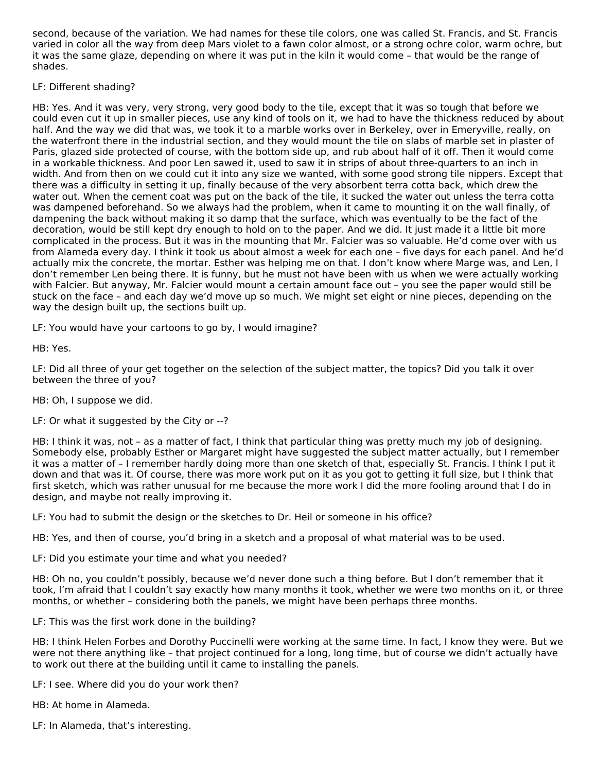second, because of the variation. We had names for these tile colors, one was called St. Francis, and St. Francis varied in color all the way from deep Mars violet to a fawn color almost, or a strong ochre color, warm ochre, but it was the same glaze, depending on where it was put in the kiln it would come – that would be the range of shades.

# LF: Different shading?

HB: Yes. And it was very, very strong, very good body to the tile, except that it was so tough that before we could even cut it up in smaller pieces, use any kind of tools on it, we had to have the thickness reduced by about half. And the way we did that was, we took it to a marble works over in Berkeley, over in Emeryville, really, on the waterfront there in the industrial section, and they would mount the tile on slabs of marble set in plaster of Paris, glazed side protected of course, with the bottom side up, and rub about half of it off. Then it would come in a workable thickness. And poor Len sawed it, used to saw it in strips of about three-quarters to an inch in width. And from then on we could cut it into any size we wanted, with some good strong tile nippers. Except that there was a difficulty in setting it up, finally because of the very absorbent terra cotta back, which drew the water out. When the cement coat was put on the back of the tile, it sucked the water out unless the terra cotta was dampened beforehand. So we always had the problem, when it came to mounting it on the wall finally, of dampening the back without making it so damp that the surface, which was eventually to be the fact of the decoration, would be still kept dry enough to hold on to the paper. And we did. It just made it a little bit more complicated in the process. But it was in the mounting that Mr. Falcier was so valuable. He'd come over with us from Alameda every day. I think it took us about almost a week for each one – five days for each panel. And he'd actually mix the concrete, the mortar. Esther was helping me on that. I don't know where Marge was, and Len, I don't remember Len being there. It is funny, but he must not have been with us when we were actually working with Falcier. But anyway, Mr. Falcier would mount a certain amount face out – you see the paper would still be stuck on the face – and each day we'd move up so much. We might set eight or nine pieces, depending on the way the design built up, the sections built up.

LF: You would have your cartoons to go by, I would imagine?

HB: Yes.

LF: Did all three of your get together on the selection of the subject matter, the topics? Did you talk it over between the three of you?

HB: Oh, I suppose we did.

LF: Or what it suggested by the City or --?

HB: I think it was, not – as a matter of fact, I think that particular thing was pretty much my job of designing. Somebody else, probably Esther or Margaret might have suggested the subject matter actually, but I remember it was a matter of – I remember hardly doing more than one sketch of that, especially St. Francis. I think I put it down and that was it. Of course, there was more work put on it as you got to getting it full size, but I think that first sketch, which was rather unusual for me because the more work I did the more fooling around that I do in design, and maybe not really improving it.

LF: You had to submit the design or the sketches to Dr. Heil or someone in his office?

HB: Yes, and then of course, you'd bring in a sketch and a proposal of what material was to be used.

LF: Did you estimate your time and what you needed?

HB: Oh no, you couldn't possibly, because we'd never done such a thing before. But I don't remember that it took, I'm afraid that I couldn't say exactly how many months it took, whether we were two months on it, or three months, or whether – considering both the panels, we might have been perhaps three months.

LF: This was the first work done in the building?

HB: I think Helen Forbes and Dorothy Puccinelli were working at the same time. In fact, I know they were. But we were not there anything like – that project continued for a long, long time, but of course we didn't actually have to work out there at the building until it came to installing the panels.

LF: I see. Where did you do your work then?

HB: At home in Alameda.

LF: In Alameda, that's interesting.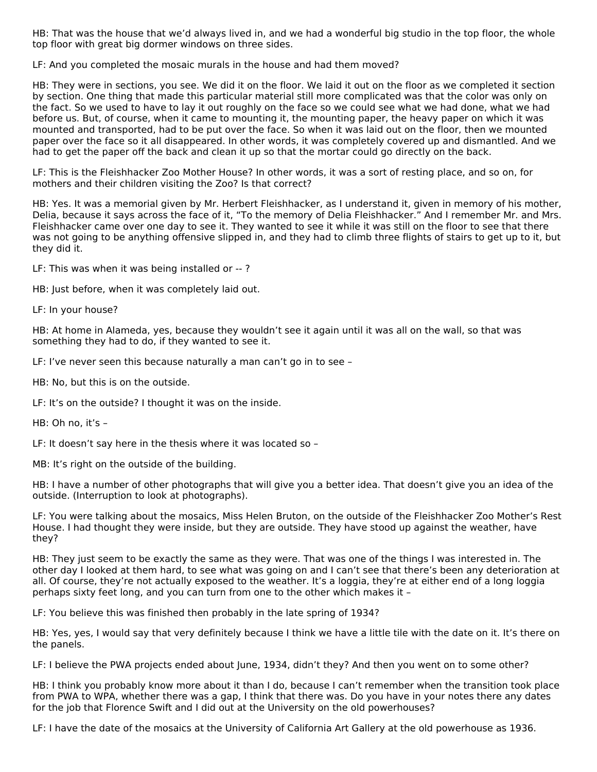HB: That was the house that we'd always lived in, and we had a wonderful big studio in the top floor, the whole top floor with great big dormer windows on three sides.

LF: And you completed the mosaic murals in the house and had them moved?

HB: They were in sections, you see. We did it on the floor. We laid it out on the floor as we completed it section by section. One thing that made this particular material still more complicated was that the color was only on the fact. So we used to have to lay it out roughly on the face so we could see what we had done, what we had before us. But, of course, when it came to mounting it, the mounting paper, the heavy paper on which it was mounted and transported, had to be put over the face. So when it was laid out on the floor, then we mounted paper over the face so it all disappeared. In other words, it was completely covered up and dismantled. And we had to get the paper off the back and clean it up so that the mortar could go directly on the back.

LF: This is the Fleishhacker Zoo Mother House? In other words, it was a sort of resting place, and so on, for mothers and their children visiting the Zoo? Is that correct?

HB: Yes. It was a memorial given by Mr. Herbert Fleishhacker, as I understand it, given in memory of his mother, Delia, because it says across the face of it, "To the memory of Delia Fleishhacker." And I remember Mr. and Mrs. Fleishhacker came over one day to see it. They wanted to see it while it was still on the floor to see that there was not going to be anything offensive slipped in, and they had to climb three flights of stairs to get up to it, but they did it.

LF: This was when it was being installed or -- ?

HB: Just before, when it was completely laid out.

LF: In your house?

HB: At home in Alameda, yes, because they wouldn't see it again until it was all on the wall, so that was something they had to do, if they wanted to see it.

LF: I've never seen this because naturally a man can't go in to see –

HB: No, but this is on the outside.

LF: It's on the outside? I thought it was on the inside.

```
HB: Oh no, it's –
```
LF: It doesn't say here in the thesis where it was located so –

MB: It's right on the outside of the building.

HB: I have a number of other photographs that will give you a better idea. That doesn't give you an idea of the outside. (Interruption to look at photographs).

LF: You were talking about the mosaics, Miss Helen Bruton, on the outside of the Fleishhacker Zoo Mother's Rest House. I had thought they were inside, but they are outside. They have stood up against the weather, have they?

HB: They just seem to be exactly the same as they were. That was one of the things I was interested in. The other day I looked at them hard, to see what was going on and I can't see that there's been any deterioration at all. Of course, they're not actually exposed to the weather. It's a loggia, they're at either end of a long loggia perhaps sixty feet long, and you can turn from one to the other which makes it –

LF: You believe this was finished then probably in the late spring of 1934?

HB: Yes, yes, I would say that very definitely because I think we have a little tile with the date on it. It's there on the panels.

LF: I believe the PWA projects ended about June, 1934, didn't they? And then you went on to some other?

HB: I think you probably know more about it than I do, because I can't remember when the transition took place from PWA to WPA, whether there was a gap, I think that there was. Do you have in your notes there any dates for the job that Florence Swift and I did out at the University on the old powerhouses?

LF: I have the date of the mosaics at the University of California Art Gallery at the old powerhouse as 1936.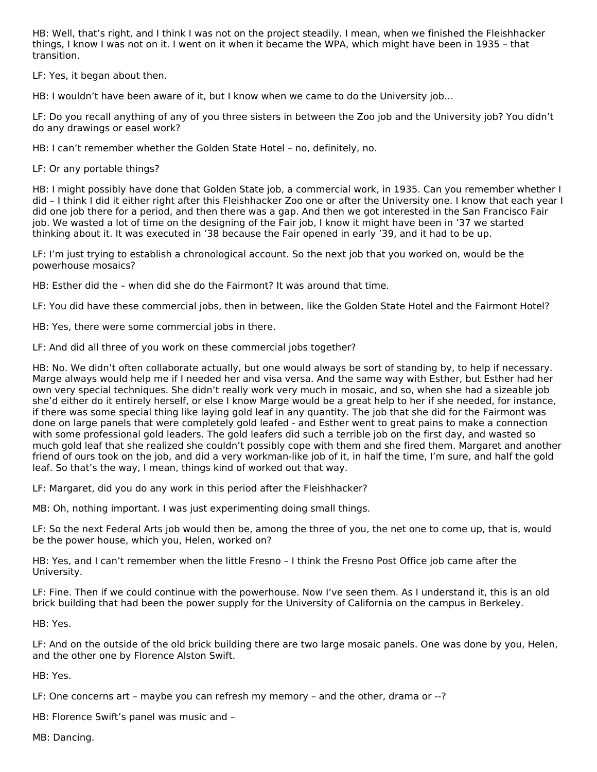HB: Well, that's right, and I think I was not on the project steadily. I mean, when we finished the Fleishhacker things, I know I was not on it. I went on it when it became the WPA, which might have been in 1935 – that transition.

LF: Yes, it began about then.

HB: I wouldn't have been aware of it, but I know when we came to do the University job…

LF: Do you recall anything of any of you three sisters in between the Zoo job and the University job? You didn't do any drawings or easel work?

HB: I can't remember whether the Golden State Hotel – no, definitely, no.

LF: Or any portable things?

HB: I might possibly have done that Golden State job, a commercial work, in 1935. Can you remember whether I did – I think I did it either right after this Fleishhacker Zoo one or after the University one. I know that each year I did one job there for a period, and then there was a gap. And then we got interested in the San Francisco Fair job. We wasted a lot of time on the designing of the Fair job, I know it might have been in '37 we started thinking about it. It was executed in '38 because the Fair opened in early '39, and it had to be up.

LF: I'm just trying to establish a chronological account. So the next job that you worked on, would be the powerhouse mosaics?

HB: Esther did the – when did she do the Fairmont? It was around that time.

LF: You did have these commercial jobs, then in between, like the Golden State Hotel and the Fairmont Hotel?

HB: Yes, there were some commercial jobs in there.

LF: And did all three of you work on these commercial jobs together?

HB: No. We didn't often collaborate actually, but one would always be sort of standing by, to help if necessary. Marge always would help me if I needed her and visa versa. And the same way with Esther, but Esther had her own very special techniques. She didn't really work very much in mosaic, and so, when she had a sizeable job she'd either do it entirely herself, or else I know Marge would be a great help to her if she needed, for instance, if there was some special thing like laying gold leaf in any quantity. The job that she did for the Fairmont was done on large panels that were completely gold leafed - and Esther went to great pains to make a connection with some professional gold leaders. The gold leafers did such a terrible job on the first day, and wasted so much gold leaf that she realized she couldn't possibly cope with them and she fired them. Margaret and another friend of ours took on the job, and did a very workman-like job of it, in half the time, I'm sure, and half the gold leaf. So that's the way, I mean, things kind of worked out that way.

LF: Margaret, did you do any work in this period after the Fleishhacker?

MB: Oh, nothing important. I was just experimenting doing small things.

LF: So the next Federal Arts job would then be, among the three of you, the net one to come up, that is, would be the power house, which you, Helen, worked on?

HB: Yes, and I can't remember when the little Fresno – I think the Fresno Post Office job came after the University.

LF: Fine. Then if we could continue with the powerhouse. Now I've seen them. As I understand it, this is an old brick building that had been the power supply for the University of California on the campus in Berkeley.

HB: Yes.

LF: And on the outside of the old brick building there are two large mosaic panels. One was done by you, Helen, and the other one by Florence Alston Swift.

HB: Yes.

LF: One concerns art – maybe you can refresh my memory – and the other, drama or --?

HB: Florence Swift's panel was music and –

MB: Dancing.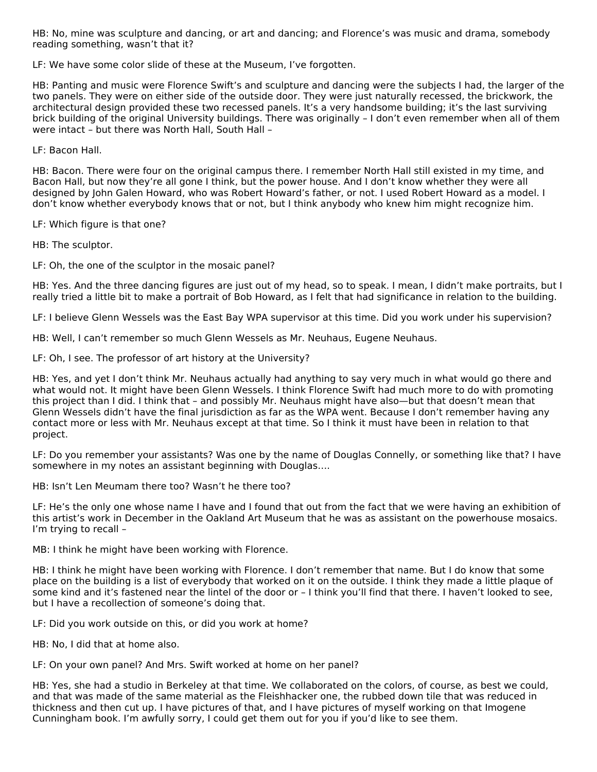HB: No, mine was sculpture and dancing, or art and dancing; and Florence's was music and drama, somebody reading something, wasn't that it?

LF: We have some color slide of these at the Museum, I've forgotten.

HB: Panting and music were Florence Swift's and sculpture and dancing were the subjects I had, the larger of the two panels. They were on either side of the outside door. They were just naturally recessed, the brickwork, the architectural design provided these two recessed panels. It's a very handsome building; it's the last surviving brick building of the original University buildings. There was originally – I don't even remember when all of them were intact – but there was North Hall, South Hall –

LF: Bacon Hall.

HB: Bacon. There were four on the original campus there. I remember North Hall still existed in my time, and Bacon Hall, but now they're all gone I think, but the power house. And I don't know whether they were all designed by John Galen Howard, who was Robert Howard's father, or not. I used Robert Howard as a model. I don't know whether everybody knows that or not, but I think anybody who knew him might recognize him.

LF: Which figure is that one?

HB: The sculptor.

LF: Oh, the one of the sculptor in the mosaic panel?

HB: Yes. And the three dancing figures are just out of my head, so to speak. I mean, I didn't make portraits, but I really tried a little bit to make a portrait of Bob Howard, as I felt that had significance in relation to the building.

LF: I believe Glenn Wessels was the East Bay WPA supervisor at this time. Did you work under his supervision?

HB: Well, I can't remember so much Glenn Wessels as Mr. Neuhaus, Eugene Neuhaus.

LF: Oh, I see. The professor of art history at the University?

HB: Yes, and yet I don't think Mr. Neuhaus actually had anything to say very much in what would go there and what would not. It might have been Glenn Wessels. I think Florence Swift had much more to do with promoting this project than I did. I think that – and possibly Mr. Neuhaus might have also—but that doesn't mean that Glenn Wessels didn't have the final jurisdiction as far as the WPA went. Because I don't remember having any contact more or less with Mr. Neuhaus except at that time. So I think it must have been in relation to that project.

LF: Do you remember your assistants? Was one by the name of Douglas Connelly, or something like that? I have somewhere in my notes an assistant beginning with Douglas….

HB: Isn't Len Meumam there too? Wasn't he there too?

LF: He's the only one whose name I have and I found that out from the fact that we were having an exhibition of this artist's work in December in the Oakland Art Museum that he was as assistant on the powerhouse mosaics. I'm trying to recall –

MB: I think he might have been working with Florence.

HB: I think he might have been working with Florence. I don't remember that name. But I do know that some place on the building is a list of everybody that worked on it on the outside. I think they made a little plaque of some kind and it's fastened near the lintel of the door or – I think you'll find that there. I haven't looked to see, but I have a recollection of someone's doing that.

LF: Did you work outside on this, or did you work at home?

HB: No, I did that at home also.

LF: On your own panel? And Mrs. Swift worked at home on her panel?

HB: Yes, she had a studio in Berkeley at that time. We collaborated on the colors, of course, as best we could, and that was made of the same material as the Fleishhacker one, the rubbed down tile that was reduced in thickness and then cut up. I have pictures of that, and I have pictures of myself working on that Imogene Cunningham book. I'm awfully sorry, I could get them out for you if you'd like to see them.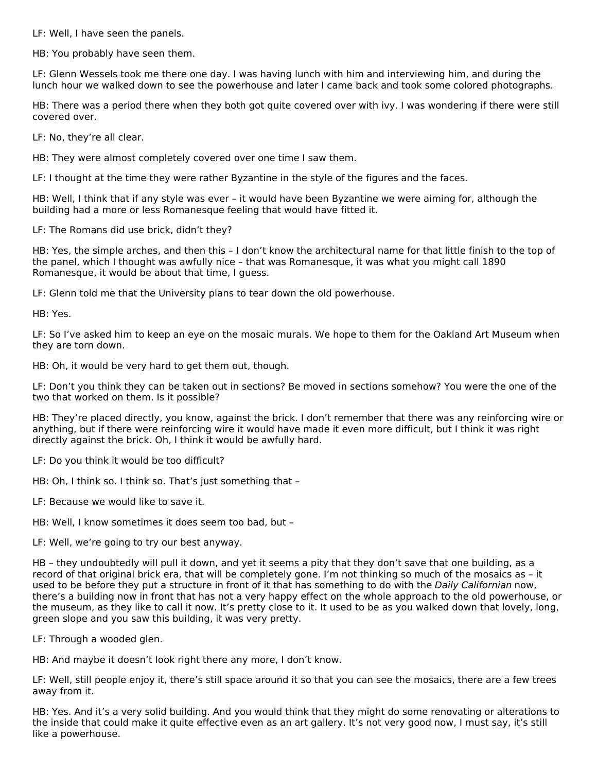LF: Well, I have seen the panels.

HB: You probably have seen them.

LF: Glenn Wessels took me there one day. I was having lunch with him and interviewing him, and during the lunch hour we walked down to see the powerhouse and later I came back and took some colored photographs.

HB: There was a period there when they both got quite covered over with ivy. I was wondering if there were still covered over.

LF: No, they're all clear.

HB: They were almost completely covered over one time I saw them.

LF: I thought at the time they were rather Byzantine in the style of the figures and the faces.

HB: Well, I think that if any style was ever – it would have been Byzantine we were aiming for, although the building had a more or less Romanesque feeling that would have fitted it.

LF: The Romans did use brick, didn't they?

HB: Yes, the simple arches, and then this – I don't know the architectural name for that little finish to the top of the panel, which I thought was awfully nice – that was Romanesque, it was what you might call 1890 Romanesque, it would be about that time, I guess.

LF: Glenn told me that the University plans to tear down the old powerhouse.

HB: Yes.

LF: So I've asked him to keep an eye on the mosaic murals. We hope to them for the Oakland Art Museum when they are torn down.

HB: Oh, it would be very hard to get them out, though.

LF: Don't you think they can be taken out in sections? Be moved in sections somehow? You were the one of the two that worked on them. Is it possible?

HB: They're placed directly, you know, against the brick. I don't remember that there was any reinforcing wire or anything, but if there were reinforcing wire it would have made it even more difficult, but I think it was right directly against the brick. Oh, I think it would be awfully hard.

LF: Do you think it would be too difficult?

HB: Oh, I think so. I think so. That's just something that –

LF: Because we would like to save it.

HB: Well, I know sometimes it does seem too bad, but –

LF: Well, we're going to try our best anyway.

HB – they undoubtedly will pull it down, and yet it seems a pity that they don't save that one building, as a record of that original brick era, that will be completely gone. I'm not thinking so much of the mosaics as – it used to be before they put a structure in front of it that has something to do with the Daily Californian now, there's a building now in front that has not a very happy effect on the whole approach to the old powerhouse, or the museum, as they like to call it now. It's pretty close to it. It used to be as you walked down that lovely, long, green slope and you saw this building, it was very pretty.

LF: Through a wooded glen.

HB: And maybe it doesn't look right there any more, I don't know.

LF: Well, still people enjoy it, there's still space around it so that you can see the mosaics, there are a few trees away from it.

HB: Yes. And it's a very solid building. And you would think that they might do some renovating or alterations to the inside that could make it quite effective even as an art gallery. It's not very good now, I must say, it's still like a powerhouse.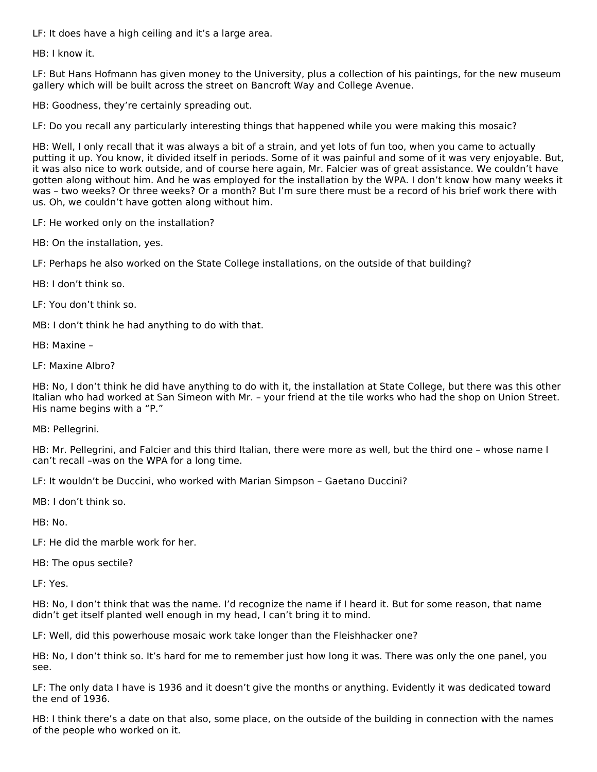LF: It does have a high ceiling and it's a large area.

HB: I know it.

LF: But Hans Hofmann has given money to the University, plus a collection of his paintings, for the new museum gallery which will be built across the street on Bancroft Way and College Avenue.

HB: Goodness, they're certainly spreading out.

LF: Do you recall any particularly interesting things that happened while you were making this mosaic?

HB: Well, I only recall that it was always a bit of a strain, and yet lots of fun too, when you came to actually putting it up. You know, it divided itself in periods. Some of it was painful and some of it was very enjoyable. But, it was also nice to work outside, and of course here again, Mr. Falcier was of great assistance. We couldn't have gotten along without him. And he was employed for the installation by the WPA. I don't know how many weeks it was – two weeks? Or three weeks? Or a month? But I'm sure there must be a record of his brief work there with us. Oh, we couldn't have gotten along without him.

LF: He worked only on the installation?

HB: On the installation, yes.

LF: Perhaps he also worked on the State College installations, on the outside of that building?

HB: I don't think so.

LF: You don't think so.

MB: I don't think he had anything to do with that.

HB: Maxine –

LF: Maxine Albro?

HB: No, I don't think he did have anything to do with it, the installation at State College, but there was this other Italian who had worked at San Simeon with Mr. – your friend at the tile works who had the shop on Union Street. His name begins with a "P."

MB: Pellegrini.

HB: Mr. Pellegrini, and Falcier and this third Italian, there were more as well, but the third one – whose name I can't recall –was on the WPA for a long time.

LF: It wouldn't be Duccini, who worked with Marian Simpson – Gaetano Duccini?

MB: I don't think so.

HB: No.

LF: He did the marble work for her.

HB: The opus sectile?

LF: Yes.

HB: No, I don't think that was the name. I'd recognize the name if I heard it. But for some reason, that name didn't get itself planted well enough in my head, I can't bring it to mind.

LF: Well, did this powerhouse mosaic work take longer than the Fleishhacker one?

HB: No, I don't think so. It's hard for me to remember just how long it was. There was only the one panel, you see.

LF: The only data I have is 1936 and it doesn't give the months or anything. Evidently it was dedicated toward the end of 1936.

HB: I think there's a date on that also, some place, on the outside of the building in connection with the names of the people who worked on it.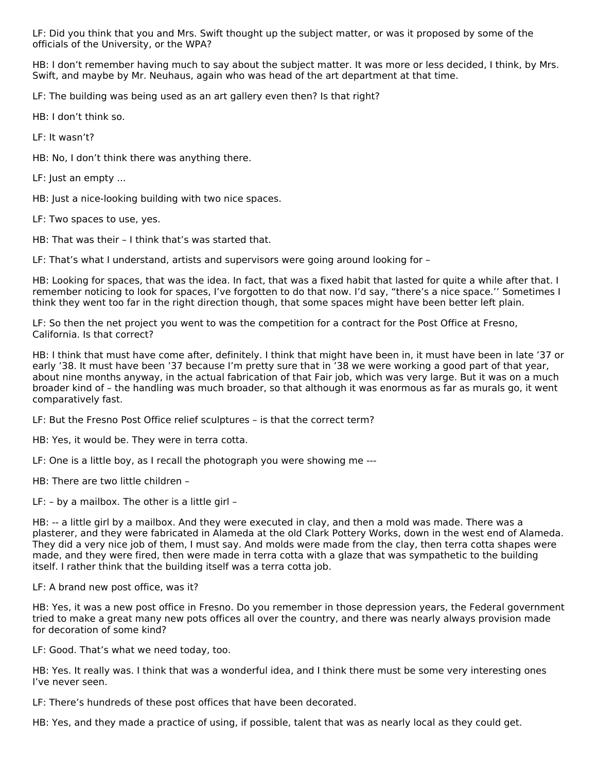LF: Did you think that you and Mrs. Swift thought up the subject matter, or was it proposed by some of the officials of the University, or the WPA?

HB: I don't remember having much to say about the subject matter. It was more or less decided, I think, by Mrs. Swift, and maybe by Mr. Neuhaus, again who was head of the art department at that time.

LF: The building was being used as an art gallery even then? Is that right?

HB: I don't think so.

LF: It wasn't?

HB: No, I don't think there was anything there.

LF: Just an empty ...

HB: Just a nice-looking building with two nice spaces.

LF: Two spaces to use, yes.

HB: That was their – I think that's was started that.

LF: That's what I understand, artists and supervisors were going around looking for –

HB: Looking for spaces, that was the idea. In fact, that was a fixed habit that lasted for quite a while after that. I remember noticing to look for spaces, I've forgotten to do that now. I'd say, "there's a nice space.'' Sometimes I think they went too far in the right direction though, that some spaces might have been better left plain.

LF: So then the net project you went to was the competition for a contract for the Post Office at Fresno, California. Is that correct?

HB: I think that must have come after, definitely. I think that might have been in, it must have been in late '37 or early '38. It must have been '37 because I'm pretty sure that in '38 we were working a good part of that year, about nine months anyway, in the actual fabrication of that Fair job, which was very large. But it was on a much broader kind of – the handling was much broader, so that although it was enormous as far as murals go, it went comparatively fast.

LF: But the Fresno Post Office relief sculptures – is that the correct term?

HB: Yes, it would be. They were in terra cotta.

LF: One is a little boy, as I recall the photograph you were showing me ---

HB: There are two little children –

LF: – by a mailbox. The other is a little girl –

HB: -- a little girl by a mailbox. And they were executed in clay, and then a mold was made. There was a plasterer, and they were fabricated in Alameda at the old Clark Pottery Works, down in the west end of Alameda. They did a very nice job of them, I must say. And molds were made from the clay, then terra cotta shapes were made, and they were fired, then were made in terra cotta with a glaze that was sympathetic to the building itself. I rather think that the building itself was a terra cotta job.

# LF: A brand new post office, was it?

HB: Yes, it was a new post office in Fresno. Do you remember in those depression years, the Federal government tried to make a great many new pots offices all over the country, and there was nearly always provision made for decoration of some kind?

LF: Good. That's what we need today, too.

HB: Yes. It really was. I think that was a wonderful idea, and I think there must be some very interesting ones I've never seen.

LF: There's hundreds of these post offices that have been decorated.

HB: Yes, and they made a practice of using, if possible, talent that was as nearly local as they could get.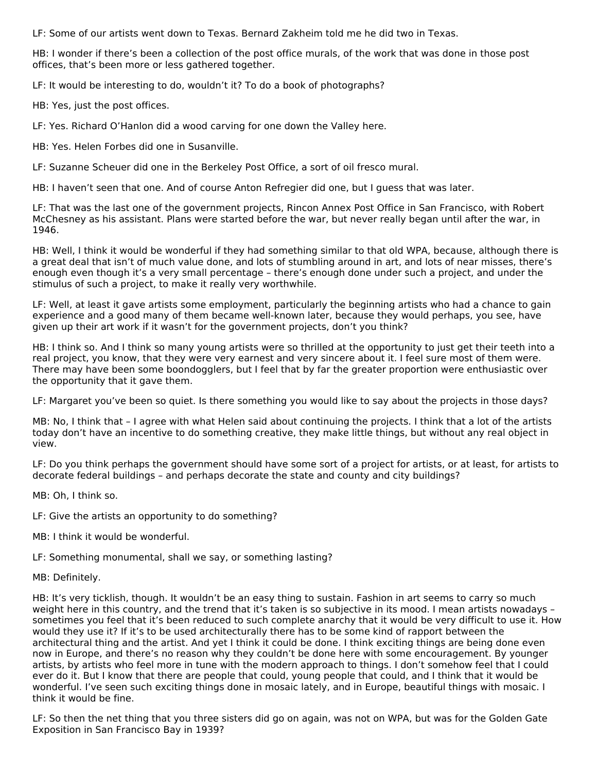LF: Some of our artists went down to Texas. Bernard Zakheim told me he did two in Texas.

HB: I wonder if there's been a collection of the post office murals, of the work that was done in those post offices, that's been more or less gathered together.

LF: It would be interesting to do, wouldn't it? To do a book of photographs?

HB: Yes, just the post offices.

LF: Yes. Richard O'Hanlon did a wood carving for one down the Valley here.

HB: Yes. Helen Forbes did one in Susanville.

LF: Suzanne Scheuer did one in the Berkeley Post Office, a sort of oil fresco mural.

HB: I haven't seen that one. And of course Anton Refregier did one, but I guess that was later.

LF: That was the last one of the government projects, Rincon Annex Post Office in San Francisco, with Robert McChesney as his assistant. Plans were started before the war, but never really began until after the war, in 1946.

HB: Well, I think it would be wonderful if they had something similar to that old WPA, because, although there is a great deal that isn't of much value done, and lots of stumbling around in art, and lots of near misses, there's enough even though it's a very small percentage – there's enough done under such a project, and under the stimulus of such a project, to make it really very worthwhile.

LF: Well, at least it gave artists some employment, particularly the beginning artists who had a chance to gain experience and a good many of them became well-known later, because they would perhaps, you see, have given up their art work if it wasn't for the government projects, don't you think?

HB: I think so. And I think so many young artists were so thrilled at the opportunity to just get their teeth into a real project, you know, that they were very earnest and very sincere about it. I feel sure most of them were. There may have been some boondogglers, but I feel that by far the greater proportion were enthusiastic over the opportunity that it gave them.

LF: Margaret you've been so quiet. Is there something you would like to say about the projects in those days?

MB: No, I think that – I agree with what Helen said about continuing the projects. I think that a lot of the artists today don't have an incentive to do something creative, they make little things, but without any real object in view.

LF: Do you think perhaps the government should have some sort of a project for artists, or at least, for artists to decorate federal buildings – and perhaps decorate the state and county and city buildings?

MB: Oh, I think so.

LF: Give the artists an opportunity to do something?

MB: I think it would be wonderful.

LF: Something monumental, shall we say, or something lasting?

MB: Definitely.

HB: It's very ticklish, though. It wouldn't be an easy thing to sustain. Fashion in art seems to carry so much weight here in this country, and the trend that it's taken is so subjective in its mood. I mean artists nowadays – sometimes you feel that it's been reduced to such complete anarchy that it would be very difficult to use it. How would they use it? If it's to be used architecturally there has to be some kind of rapport between the architectural thing and the artist. And yet I think it could be done. I think exciting things are being done even now in Europe, and there's no reason why they couldn't be done here with some encouragement. By younger artists, by artists who feel more in tune with the modern approach to things. I don't somehow feel that I could ever do it. But I know that there are people that could, young people that could, and I think that it would be wonderful. I've seen such exciting things done in mosaic lately, and in Europe, beautiful things with mosaic. I think it would be fine.

LF: So then the net thing that you three sisters did go on again, was not on WPA, but was for the Golden Gate Exposition in San Francisco Bay in 1939?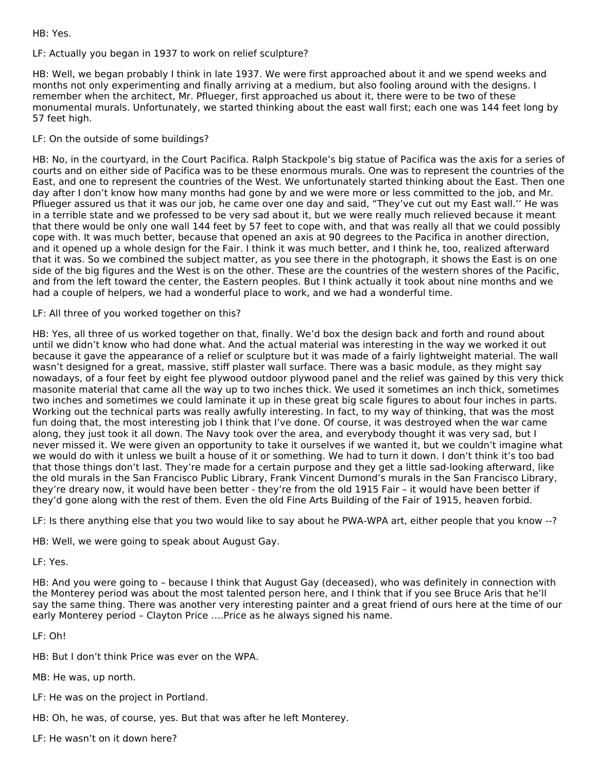HB: Yes.

# LF: Actually you began in 1937 to work on relief sculpture?

HB: Well, we began probably I think in late 1937. We were first approached about it and we spend weeks and months not only experimenting and finally arriving at a medium, but also fooling around with the designs. I remember when the architect, Mr. Pflueger, first approached us about it, there were to be two of these monumental murals. Unfortunately, we started thinking about the east wall first; each one was 144 feet long by 57 feet high.

# LF: On the outside of some buildings?

HB: No, in the courtyard, in the Court Pacifica. Ralph Stackpole's big statue of Pacifica was the axis for a series of courts and on either side of Pacifica was to be these enormous murals. One was to represent the countries of the East, and one to represent the countries of the West. We unfortunately started thinking about the East. Then one day after I don't know how many months had gone by and we were more or less committed to the job, and Mr. Pflueger assured us that it was our job, he came over one day and said, "They've cut out my East wall.'' He was in a terrible state and we professed to be very sad about it, but we were really much relieved because it meant that there would be only one wall 144 feet by 57 feet to cope with, and that was really all that we could possibly cope with. It was much better, because that opened an axis at 90 degrees to the Pacifica in another direction, and it opened up a whole design for the Fair. I think it was much better, and I think he, too, realized afterward that it was. So we combined the subject matter, as you see there in the photograph, it shows the East is on one side of the big figures and the West is on the other. These are the countries of the western shores of the Pacific, and from the left toward the center, the Eastern peoples. But I think actually it took about nine months and we had a couple of helpers, we had a wonderful place to work, and we had a wonderful time.

# LF: All three of you worked together on this?

HB: Yes, all three of us worked together on that, finally. We'd box the design back and forth and round about until we didn't know who had done what. And the actual material was interesting in the way we worked it out because it gave the appearance of a relief or sculpture but it was made of a fairly lightweight material. The wall wasn't designed for a great, massive, stiff plaster wall surface. There was a basic module, as they might say nowadays, of a four feet by eight fee plywood outdoor plywood panel and the relief was gained by this very thick masonite material that came all the way up to two inches thick. We used it sometimes an inch thick, sometimes two inches and sometimes we could laminate it up in these great big scale figures to about four inches in parts. Working out the technical parts was really awfully interesting. In fact, to my way of thinking, that was the most fun doing that, the most interesting job I think that I've done. Of course, it was destroyed when the war came along, they just took it all down. The Navy took over the area, and everybody thought it was very sad, but I never missed it. We were given an opportunity to take it ourselves if we wanted it, but we couldn't imagine what we would do with it unless we built a house of it or something. We had to turn it down. I don't think it's too bad that those things don't last. They're made for a certain purpose and they get a little sad-looking afterward, like the old murals in the San Francisco Public Library, Frank Vincent Dumond's murals in the San Francisco Library, they're dreary now, it would have been better - they're from the old 1915 Fair – it would have been better if they'd gone along with the rest of them. Even the old Fine Arts Building of the Fair of 1915, heaven forbid.

LF: Is there anything else that you two would like to say about he PWA-WPA art, either people that you know --?

HB: Well, we were going to speak about August Gay.

LF: Yes.

HB: And you were going to – because I think that August Gay (deceased), who was definitely in connection with the Monterey period was about the most talented person here, and I think that if you see Bruce Aris that he'll say the same thing. There was another very interesting painter and a great friend of ours here at the time of our early Monterey period – Clayton Price ….Price as he always signed his name.

LF: Oh!

HB: But I don't think Price was ever on the WPA.

MB: He was, up north.

- LF: He was on the project in Portland.
- HB: Oh, he was, of course, yes. But that was after he left Monterey.

LF: He wasn't on it down here?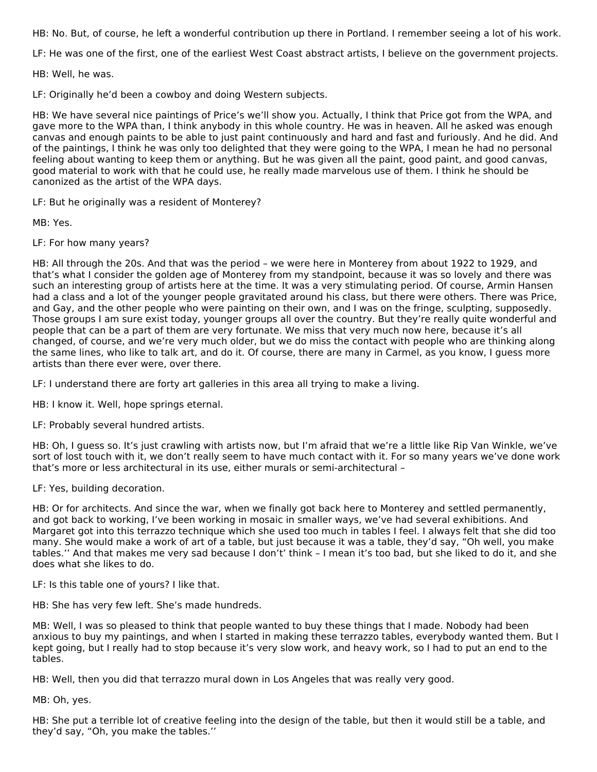HB: No. But, of course, he left a wonderful contribution up there in Portland. I remember seeing a lot of his work.

LF: He was one of the first, one of the earliest West Coast abstract artists, I believe on the government projects.

HB: Well, he was.

LF: Originally he'd been a cowboy and doing Western subjects.

HB: We have several nice paintings of Price's we'll show you. Actually, I think that Price got from the WPA, and gave more to the WPA than, I think anybody in this whole country. He was in heaven. All he asked was enough canvas and enough paints to be able to just paint continuously and hard and fast and furiously. And he did. And of the paintings, I think he was only too delighted that they were going to the WPA, I mean he had no personal feeling about wanting to keep them or anything. But he was given all the paint, good paint, and good canvas, good material to work with that he could use, he really made marvelous use of them. I think he should be canonized as the artist of the WPA days.

LF: But he originally was a resident of Monterey?

MB: Yes.

LF: For how many years?

HB: All through the 20s. And that was the period – we were here in Monterey from about 1922 to 1929, and that's what I consider the golden age of Monterey from my standpoint, because it was so lovely and there was such an interesting group of artists here at the time. It was a very stimulating period. Of course, Armin Hansen had a class and a lot of the younger people gravitated around his class, but there were others. There was Price, and Gay, and the other people who were painting on their own, and I was on the fringe, sculpting, supposedly. Those groups I am sure exist today, younger groups all over the country. But they're really quite wonderful and people that can be a part of them are very fortunate. We miss that very much now here, because it's all changed, of course, and we're very much older, but we do miss the contact with people who are thinking along the same lines, who like to talk art, and do it. Of course, there are many in Carmel, as you know, I guess more artists than there ever were, over there.

LF: I understand there are forty art galleries in this area all trying to make a living.

HB: I know it. Well, hope springs eternal.

LF: Probably several hundred artists.

HB: Oh, I guess so. It's just crawling with artists now, but I'm afraid that we're a little like Rip Van Winkle, we've sort of lost touch with it, we don't really seem to have much contact with it. For so many years we've done work that's more or less architectural in its use, either murals or semi-architectural –

LF: Yes, building decoration.

HB: Or for architects. And since the war, when we finally got back here to Monterey and settled permanently, and got back to working, I've been working in mosaic in smaller ways, we've had several exhibitions. And Margaret got into this terrazzo technique which she used too much in tables I feel. I always felt that she did too many. She would make a work of art of a table, but just because it was a table, they'd say, "Oh well, you make tables.'' And that makes me very sad because I don't' think – I mean it's too bad, but she liked to do it, and she does what she likes to do.

LF: Is this table one of yours? I like that.

HB: She has very few left. She's made hundreds.

MB: Well, I was so pleased to think that people wanted to buy these things that I made. Nobody had been anxious to buy my paintings, and when I started in making these terrazzo tables, everybody wanted them. But I kept going, but I really had to stop because it's very slow work, and heavy work, so I had to put an end to the tables.

HB: Well, then you did that terrazzo mural down in Los Angeles that was really very good.

MB: Oh, yes.

HB: She put a terrible lot of creative feeling into the design of the table, but then it would still be a table, and they'd say, "Oh, you make the tables.''